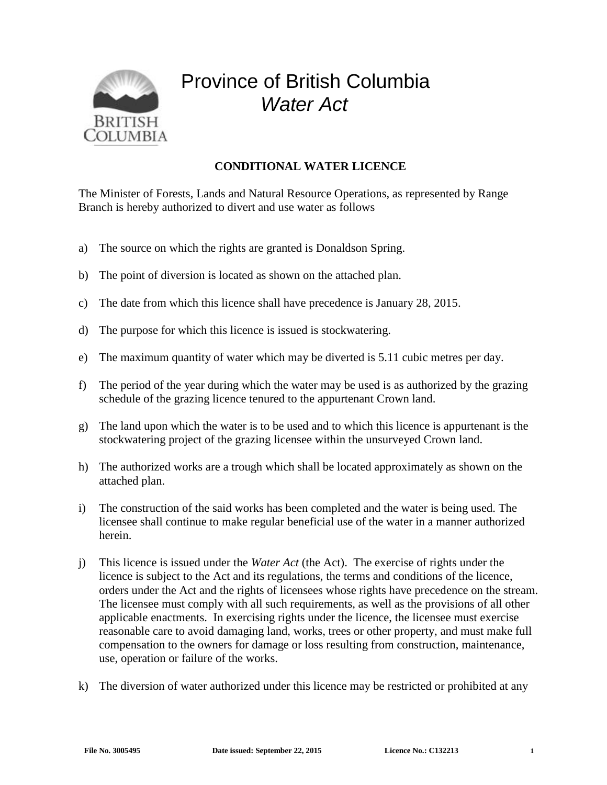

## Province of British Columbia *Water Act*

## **CONDITIONAL WATER LICENCE**

The Minister of Forests, Lands and Natural Resource Operations, as represented by Range Branch is hereby authorized to divert and use water as follows

- a) The source on which the rights are granted is Donaldson Spring.
- b) The point of diversion is located as shown on the attached plan.
- c) The date from which this licence shall have precedence is January 28, 2015.
- d) The purpose for which this licence is issued is stockwatering.
- e) The maximum quantity of water which may be diverted is 5.11 cubic metres per day.
- f) The period of the year during which the water may be used is as authorized by the grazing schedule of the grazing licence tenured to the appurtenant Crown land.
- g) The land upon which the water is to be used and to which this licence is appurtenant is the stockwatering project of the grazing licensee within the unsurveyed Crown land.
- h) The authorized works are a trough which shall be located approximately as shown on the attached plan.
- i) The construction of the said works has been completed and the water is being used. The licensee shall continue to make regular beneficial use of the water in a manner authorized herein.
- j) This licence is issued under the *Water Act* (the Act). The exercise of rights under the licence is subject to the Act and its regulations, the terms and conditions of the licence, orders under the Act and the rights of licensees whose rights have precedence on the stream. The licensee must comply with all such requirements, as well as the provisions of all other applicable enactments. In exercising rights under the licence, the licensee must exercise reasonable care to avoid damaging land, works, trees or other property, and must make full compensation to the owners for damage or loss resulting from construction, maintenance, use, operation or failure of the works.
- k) The diversion of water authorized under this licence may be restricted or prohibited at any